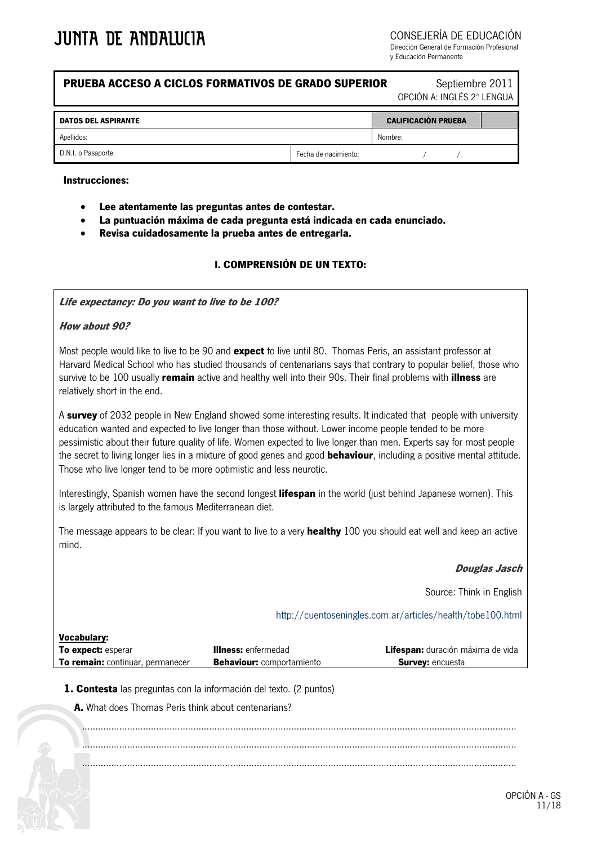CONSEJERÍA DE EDUCACIÓN

Dirección General de Formación Profesional y Educación Permanente

### **PRUEBA ACCESO A CICLOS FORMATIVOS DE GRADO SUPERIOR Septiembre 2011**

OPCIÓN A: INGLÉS 2ª LENGUA

| <b>DATOS DEL ASPIRANTE</b> |                      | <b>CALIFICACIÓN PRUEBA</b> |  |  |
|----------------------------|----------------------|----------------------------|--|--|
| Apellidos:                 |                      | Nombre:                    |  |  |
| D.N.I. o Pasaporte:        | Fecha de nacimiento: |                            |  |  |

#### **Instrucciones:**

- **Lee atentamente las preguntas antes de contestar.**
- **La puntuación máxima de cada pregunta está indicada en cada enunciado.**
- **Revisa cuidadosamente la prueba antes de entregarla.**

#### **I. COMPRENSIÓN DE UN TEXTO:**

**Life expectancy: Do you want to live to be 100?** 

#### **How about 90?**

**Vocabulary:** 

Most people would like to live to be 90 and **expect** to live until 80. Thomas Peris, an assistant professor at Harvard Medical School who has studied thousands of centenarians says that contrary to popular belief, those who survive to be 100 usually **remain** active and healthy well into their 90s. Their final problems with **illness** are relatively short in the end.

A **survey** of 2032 people in New England showed some interesting results. lt indicated that people with university education wanted and expected to live longer than those without. Lower income people tended to be more pessimistic about their future quality of life. Women expected to live longer than men. Experts say for most people the secret to living longer lies in a mixture of good genes and good **behaviour**, including a positive mental attitude. Those who live longer tend to be more optimistic and less neurotic.

Interestingly, Spanish women have the second longest **lifespan** in the world (just behind Japanese women). This is largely attributed to the famous Mediterranean diet.

The message appears to be clear: lf you want to live to a very **healthy** 100 you should eat well and keep an active mind.

#### **Douglas Jasch**

Source: Think in English

<http://cuentoseningles.com.ar/articles/health/tobe100.html>

| <u>vocapulary:</u>                      |                                  |                                          |
|-----------------------------------------|----------------------------------|------------------------------------------|
| <b>To expect:</b> esperar               | <b>Illness:</b> enfermedad       | <b>Lifespan:</b> duración máxima de vida |
| <b>To remain:</b> continuar, permanecer | <b>Behaviour:</b> comportamiento | <b>Survey:</b> encuesta                  |

**1. Contesta** las preguntas con la información del texto. (2 puntos)

**A.** What does Thomas Peris think about centenarians?

.................................................................................................................................................................... .................................................................................................................................................................... ....................................................................................................................................................................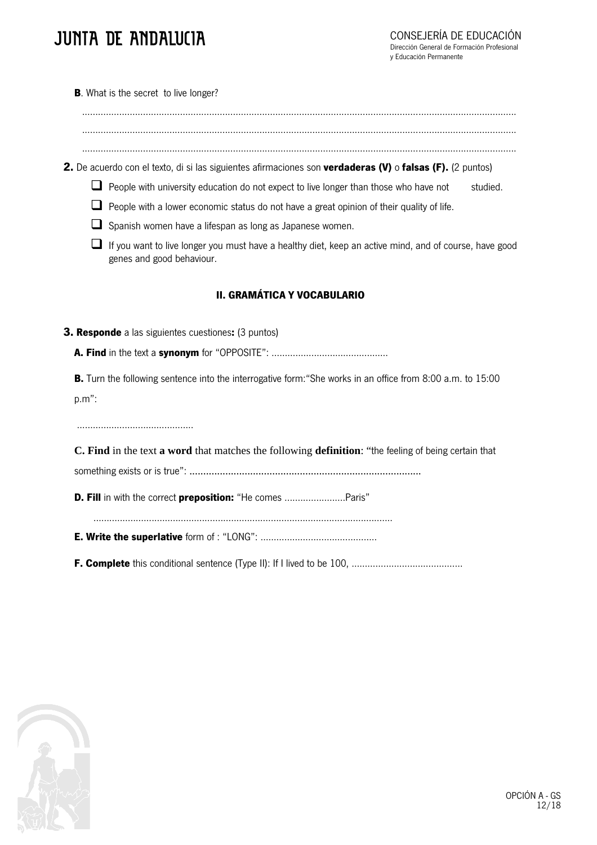# JUNTA DE ANDAIUCIA

**B**. What is the secret to live longer?

.................................................................................................................................................................... .................................................................................................................................................................... ....................................................................................................................................................................

**2.** De acuerdo con el texto, di si las siguientes afirmaciones son **verdaderas (V)** o **falsas (F).** (2 puntos)

 $\Box$  People with university education do not expect to live longer than those who have not studied.

 $\Box$  People with a lower economic status do not have a great opinion of their quality of life.

 $\Box$  Spanish women have a lifespan as long as Japanese women.

 $\Box$  If you want to live longer you must have a healthy diet, keep an active mind, and of course, have good genes and good behaviour.

## **II. GRAMÁTICA Y VOCABULARIO**

**3. Responde** a las siguientes cuestiones**:** (3 puntos)

**A. Find** in the text a **synonym** for "OPPOSITE": ……………………………………..

**B.** Turn the following sentence into the interrogative form:"She works in an office from 8:00 a.m. to 15:00 p.m":

……………………………………..

**C. Find** in the text **a word** that matches the following **definition**: "the feeling of being certain that something exists or is true": ....................................................................................

**D. Fill** in with the correct **preposition:** "He comes .......................Paris"

…..............................................................................................................

**E. Write the superlative** form of : "LONG": ……………………………………..

**F. Complete** this conditional sentence (Type II): If I lived to be 100, ……………………………………